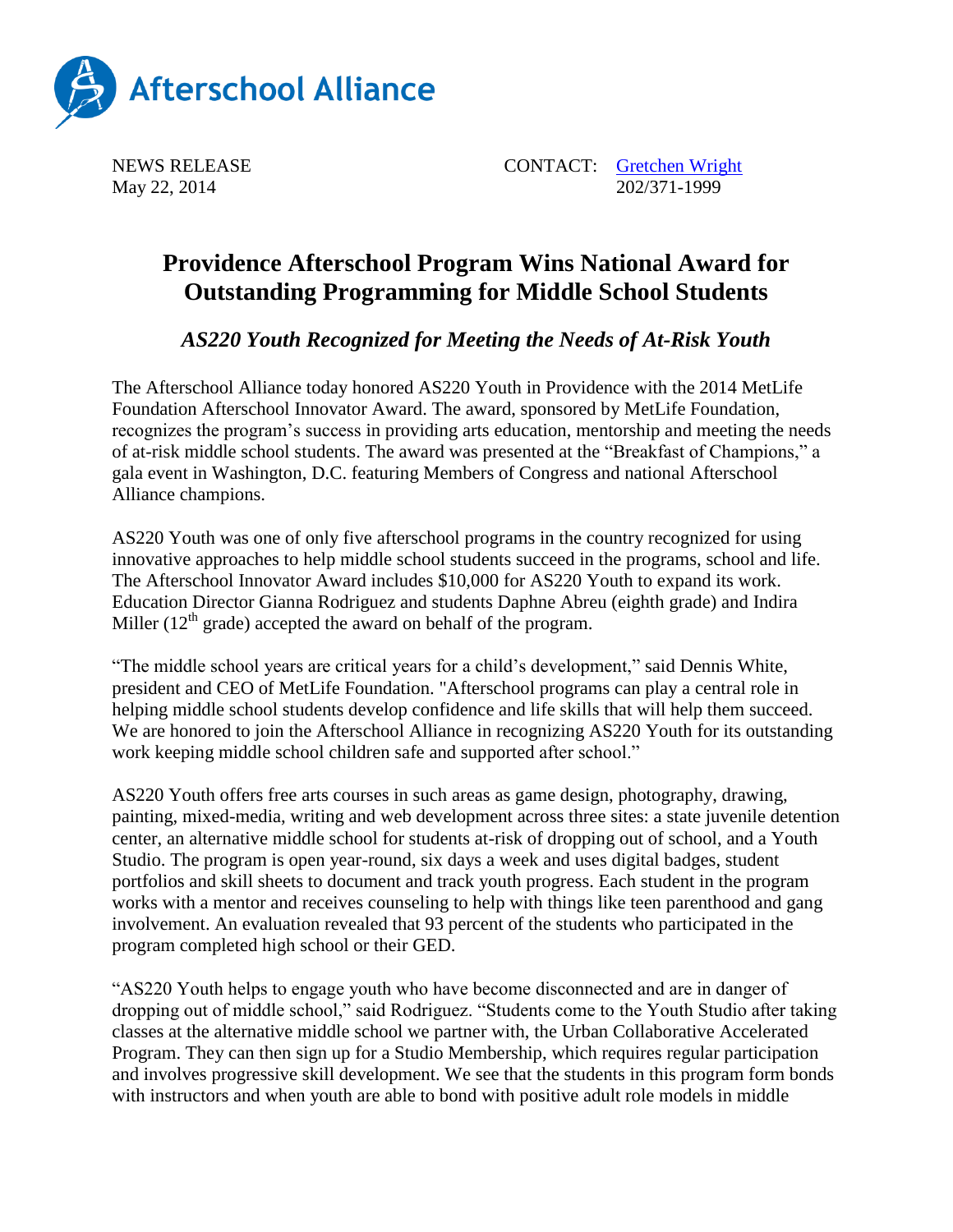

NEWS RELEASE CONTACT: [Gretchen Wright](mailto:gretchen@prsolutionsdc.com) May 22, 2014 202/371-1999

## **Providence Afterschool Program Wins National Award for Outstanding Programming for Middle School Students**

*AS220 Youth Recognized for Meeting the Needs of At-Risk Youth*

The Afterschool Alliance today honored AS220 Youth in Providence with the 2014 MetLife Foundation Afterschool Innovator Award. The award, sponsored by MetLife Foundation, recognizes the program's success in providing arts education, mentorship and meeting the needs of at-risk middle school students. The award was presented at the "Breakfast of Champions," a gala event in Washington, D.C. featuring Members of Congress and national Afterschool Alliance champions.

AS220 Youth was one of only five afterschool programs in the country recognized for using innovative approaches to help middle school students succeed in the programs, school and life. The Afterschool Innovator Award includes \$10,000 for AS220 Youth to expand its work. Education Director Gianna Rodriguez and students Daphne Abreu (eighth grade) and Indira Miller  $(12<sup>th</sup> \text{ grade})$  accepted the award on behalf of the program.

"The middle school years are critical years for a child's development," said Dennis White, president and CEO of MetLife Foundation. "Afterschool programs can play a central role in helping middle school students develop confidence and life skills that will help them succeed. We are honored to join the Afterschool Alliance in recognizing AS220 Youth for its outstanding work keeping middle school children safe and supported after school."

AS220 Youth offers free arts courses in such areas as game design, photography, drawing, painting, mixed-media, writing and web development across three sites: a state juvenile detention center, an alternative middle school for students at-risk of dropping out of school, and a Youth Studio. The program is open year-round, six days a week and uses digital badges, student portfolios and skill sheets to document and track youth progress. Each student in the program works with a mentor and receives counseling to help with things like teen parenthood and gang involvement. An evaluation revealed that 93 percent of the students who participated in the program completed high school or their GED.

"AS220 Youth helps to engage youth who have become disconnected and are in danger of dropping out of middle school," said Rodriguez. "Students come to the Youth Studio after taking classes at the alternative middle school we partner with, the Urban Collaborative Accelerated Program. They can then sign up for a Studio Membership, which requires regular participation and involves progressive skill development. We see that the students in this program form bonds with instructors and when youth are able to bond with positive adult role models in middle